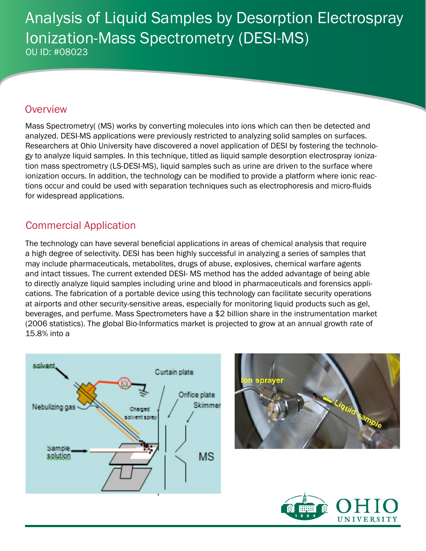# Analysis of Liquid Samples by Desorption Electrospray Ionization-Mass Spectrometry (DESI-MS) OU ID: #08023

#### **Overview**

Mass Spectrometry( (MS) works by converting molecules into ions which can then be detected and analyzed. DESI-MS applications were previously restricted to analyzing solid samples on surfaces. Researchers at Ohio University have discovered a novel application of DESI by fostering the technology to analyze liquid samples. In this technique, titled as liquid sample desorption electrospray ionization mass spectrometry (LS-DESI-MS), liquid samples such as urine are driven to the surface where ionization occurs. In addition, the technology can be modified to provide a platform where ionic reactions occur and could be used with separation techniques such as electrophoresis and micro-fluids for widespread applications.

### Commercial Application

The technology can have several beneficial applications in areas of chemical analysis that require a high degree of selectivity. DESI has been highly successful in analyzing a series of samples that may include pharmaceuticals, metabolites, drugs of abuse, explosives, chemical warfare agents and intact tissues. The current extended DESI- MS method has the added advantage of being able to directly analyze liquid samples including urine and blood in pharmaceuticals and forensics applications. The fabrication of a portable device using this technology can facilitate security operations at airports and other security-sensitive areas, especially for monitoring liquid products such as gel, beverages, and perfume. Mass Spectrometers have a \$2 billion share in the instrumentation market (2006 statistics). The global Bio-Informatics market is projected to grow at an annual growth rate of 15.8% into a